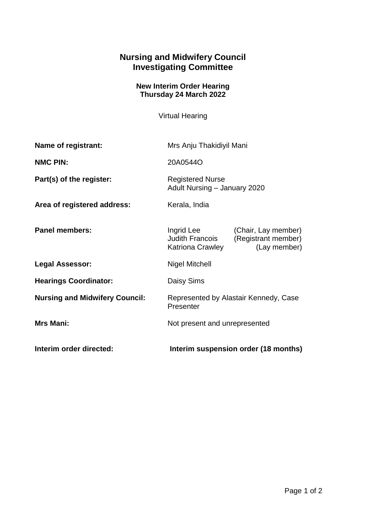## **Nursing and Midwifery Council Investigating Committee**

## **New Interim Order Hearing Thursday 24 March 2022**

Virtual Hearing

| Name of registrant:                   | Mrs Anju Thakidiyil Mani                                                                                               |
|---------------------------------------|------------------------------------------------------------------------------------------------------------------------|
| <b>NMC PIN:</b>                       | 20A0544O                                                                                                               |
| Part(s) of the register:              | <b>Registered Nurse</b><br>Adult Nursing - January 2020                                                                |
| Area of registered address:           | Kerala, India                                                                                                          |
| <b>Panel members:</b>                 | Ingrid Lee<br>(Chair, Lay member)<br>(Registrant member)<br><b>Judith Francois</b><br>(Lay member)<br>Katriona Crawley |
| <b>Legal Assessor:</b>                | Nigel Mitchell                                                                                                         |
| <b>Hearings Coordinator:</b>          | Daisy Sims                                                                                                             |
| <b>Nursing and Midwifery Council:</b> | Represented by Alastair Kennedy, Case<br>Presenter                                                                     |
| <b>Mrs Mani:</b>                      | Not present and unrepresented                                                                                          |
| Interim order directed:               | Interim suspension order (18 months)                                                                                   |